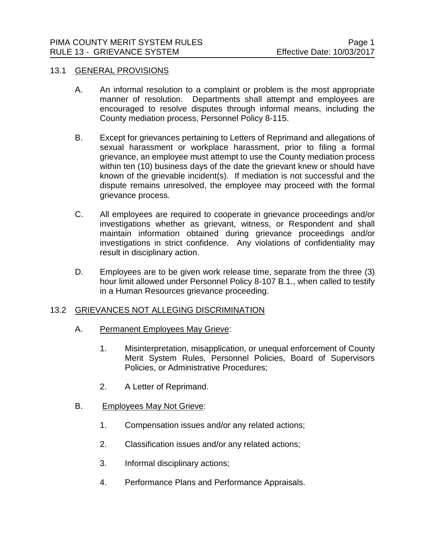## 13.1 GENERAL PROVISIONS

- A. An informal resolution to a complaint or problem is the most appropriate manner of resolution. Departments shall attempt and employees are encouraged to resolve disputes through informal means, including the County mediation process, Personnel Policy 8-115.
- B. Except for grievances pertaining to Letters of Reprimand and allegations of sexual harassment or workplace harassment, prior to filing a formal grievance, an employee must attempt to use the County mediation process within ten (10) business days of the date the grievant knew or should have known of the grievable incident(s). If mediation is not successful and the dispute remains unresolved, the employee may proceed with the formal grievance process.
- C. All employees are required to cooperate in grievance proceedings and/or investigations whether as grievant, witness, or Respondent and shall maintain information obtained during grievance proceedings and/or investigations in strict confidence. Any violations of confidentiality may result in disciplinary action.
- D. Employees are to be given work release time, separate from the three (3) hour limit allowed under Personnel Policy 8-107 B.1., when called to testify in a Human Resources grievance proceeding.

## 13.2 GRIEVANCES NOT ALLEGING DISCRIMINATION

- A. Permanent Employees May Grieve:
	- 1. Misinterpretation, misapplication, or unequal enforcement of County Merit System Rules, Personnel Policies, Board of Supervisors Policies, or Administrative Procedures;
	- 2. A Letter of Reprimand.
- B. Employees May Not Grieve:
	- 1. Compensation issues and/or any related actions;
	- 2. Classification issues and/or any related actions;
	- 3. Informal disciplinary actions;
	- 4. Performance Plans and Performance Appraisals.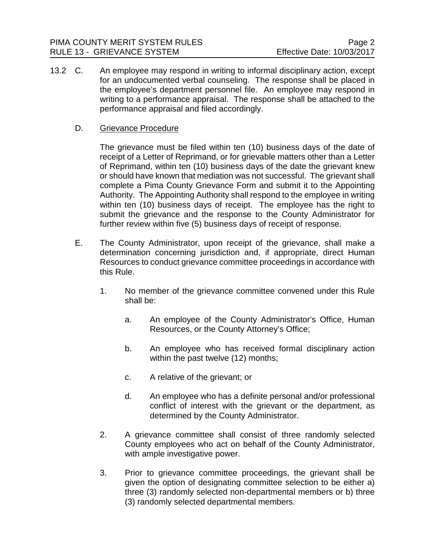13.2 C. An employee may respond in writing to informal disciplinary action, except for an undocumented verbal counseling. The response shall be placed in the employee's department personnel file. An employee may respond in writing to a performance appraisal. The response shall be attached to the performance appraisal and filed accordingly.

# D. Grievance Procedure

The grievance must be filed within ten (10) business days of the date of receipt of a Letter of Reprimand, or for grievable matters other than a Letter of Reprimand, within ten (10) business days of the date the grievant knew or should have known that mediation was not successful. The grievant shall complete a Pima County Grievance Form and submit it to the Appointing Authority. The Appointing Authority shall respond to the employee in writing within ten (10) business days of receipt. The employee has the right to submit the grievance and the response to the County Administrator for further review within five (5) business days of receipt of response.

- E. The County Administrator, upon receipt of the grievance, shall make a determination concerning jurisdiction and, if appropriate, direct Human Resources to conduct grievance committee proceedings in accordance with this Rule.
	- 1. No member of the grievance committee convened under this Rule shall be:
		- a. An employee of the County Administrator's Office, Human Resources, or the County Attorney's Office;
		- b. An employee who has received formal disciplinary action within the past twelve (12) months;
		- c. A relative of the grievant; or
		- d. An employee who has a definite personal and/or professional conflict of interest with the grievant or the department, as determined by the County Administrator.
	- 2. A grievance committee shall consist of three randomly selected County employees who act on behalf of the County Administrator, with ample investigative power.
	- 3. Prior to grievance committee proceedings, the grievant shall be given the option of designating committee selection to be either a) three (3) randomly selected non-departmental members or b) three (3) randomly selected departmental members.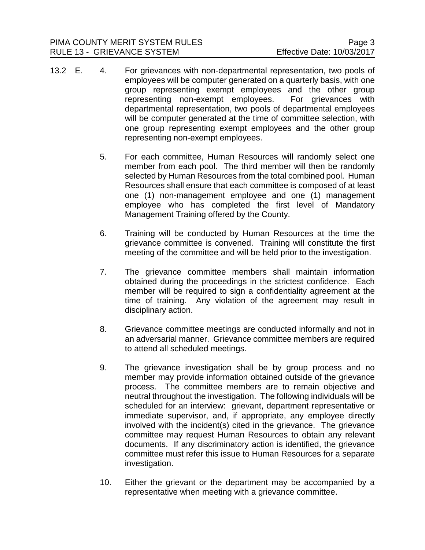- 13.2 E. 4. For grievances with non-departmental representation, two pools of employees will be computer generated on a quarterly basis, with one group representing exempt employees and the other group representing non-exempt employees. For grievances with departmental representation, two pools of departmental employees will be computer generated at the time of committee selection, with one group representing exempt employees and the other group representing non-exempt employees.
	- 5. For each committee, Human Resources will randomly select one member from each pool. The third member will then be randomly selected by Human Resources from the total combined pool. Human Resources shall ensure that each committee is composed of at least one (1) non-management employee and one (1) management employee who has completed the first level of Mandatory Management Training offered by the County.
	- 6. Training will be conducted by Human Resources at the time the grievance committee is convened. Training will constitute the first meeting of the committee and will be held prior to the investigation.
	- 7. The grievance committee members shall maintain information obtained during the proceedings in the strictest confidence. Each member will be required to sign a confidentiality agreement at the time of training. Any violation of the agreement may result in disciplinary action.
	- 8. Grievance committee meetings are conducted informally and not in an adversarial manner. Grievance committee members are required to attend all scheduled meetings.
	- 9. The grievance investigation shall be by group process and no member may provide information obtained outside of the grievance process. The committee members are to remain objective and neutral throughout the investigation. The following individuals will be scheduled for an interview: grievant, department representative or immediate supervisor, and, if appropriate, any employee directly involved with the incident(s) cited in the grievance. The grievance committee may request Human Resources to obtain any relevant documents. If any discriminatory action is identified, the grievance committee must refer this issue to Human Resources for a separate investigation.
	- 10. Either the grievant or the department may be accompanied by a representative when meeting with a grievance committee.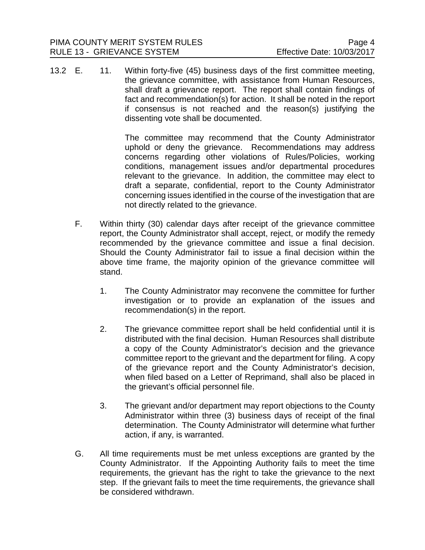13.2 E. 11. Within forty-five (45) business days of the first committee meeting, the grievance committee, with assistance from Human Resources, shall draft a grievance report. The report shall contain findings of fact and recommendation(s) for action. It shall be noted in the report if consensus is not reached and the reason(s) justifying the dissenting vote shall be documented.

> The committee may recommend that the County Administrator uphold or deny the grievance. Recommendations may address concerns regarding other violations of Rules/Policies, working conditions, management issues and/or departmental procedures relevant to the grievance. In addition, the committee may elect to draft a separate, confidential, report to the County Administrator concerning issues identified in the course of the investigation that are not directly related to the grievance.

- F. Within thirty (30) calendar days after receipt of the grievance committee report, the County Administrator shall accept, reject, or modify the remedy recommended by the grievance committee and issue a final decision. Should the County Administrator fail to issue a final decision within the above time frame, the majority opinion of the grievance committee will stand.
	- 1. The County Administrator may reconvene the committee for further investigation or to provide an explanation of the issues and recommendation(s) in the report.
	- 2. The grievance committee report shall be held confidential until it is distributed with the final decision. Human Resources shall distribute a copy of the County Administrator's decision and the grievance committee report to the grievant and the department for filing. A copy of the grievance report and the County Administrator's decision, when filed based on a Letter of Reprimand, shall also be placed in the grievant's official personnel file.
	- 3. The grievant and/or department may report objections to the County Administrator within three (3) business days of receipt of the final determination. The County Administrator will determine what further action, if any, is warranted.
- G. All time requirements must be met unless exceptions are granted by the County Administrator. If the Appointing Authority fails to meet the time requirements, the grievant has the right to take the grievance to the next step. If the grievant fails to meet the time requirements, the grievance shall be considered withdrawn.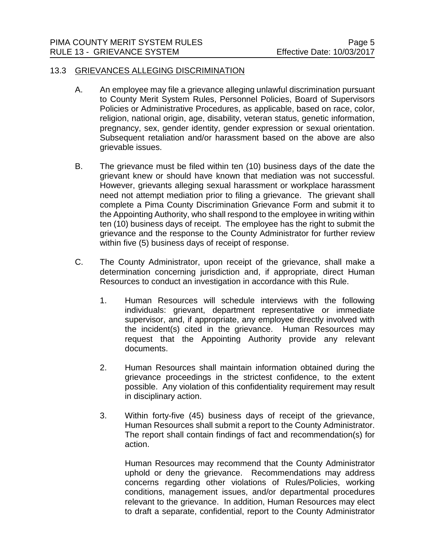#### 13.3 GRIEVANCES ALLEGING DISCRIMINATION

- A. An employee may file a grievance alleging unlawful discrimination pursuant to County Merit System Rules, Personnel Policies, Board of Supervisors Policies or Administrative Procedures, as applicable, based on race, color, religion, national origin, age, disability, veteran status, genetic information, pregnancy, sex, gender identity, gender expression or sexual orientation. Subsequent retaliation and/or harassment based on the above are also grievable issues.
- B. The grievance must be filed within ten (10) business days of the date the grievant knew or should have known that mediation was not successful. However, grievants alleging sexual harassment or workplace harassment need not attempt mediation prior to filing a grievance. The grievant shall complete a Pima County Discrimination Grievance Form and submit it to the Appointing Authority, who shall respond to the employee in writing within ten (10) business days of receipt. The employee has the right to submit the grievance and the response to the County Administrator for further review within five (5) business days of receipt of response.
- C. The County Administrator, upon receipt of the grievance, shall make a determination concerning jurisdiction and, if appropriate, direct Human Resources to conduct an investigation in accordance with this Rule.
	- 1. Human Resources will schedule interviews with the following individuals: grievant, department representative or immediate supervisor, and, if appropriate, any employee directly involved with the incident(s) cited in the grievance. Human Resources may request that the Appointing Authority provide any relevant documents.
	- 2. Human Resources shall maintain information obtained during the grievance proceedings in the strictest confidence, to the extent possible. Any violation of this confidentiality requirement may result in disciplinary action.
	- 3. Within forty-five (45) business days of receipt of the grievance, Human Resources shall submit a report to the County Administrator. The report shall contain findings of fact and recommendation(s) for action.

Human Resources may recommend that the County Administrator uphold or deny the grievance. Recommendations may address concerns regarding other violations of Rules/Policies, working conditions, management issues, and/or departmental procedures relevant to the grievance. In addition, Human Resources may elect to draft a separate, confidential, report to the County Administrator